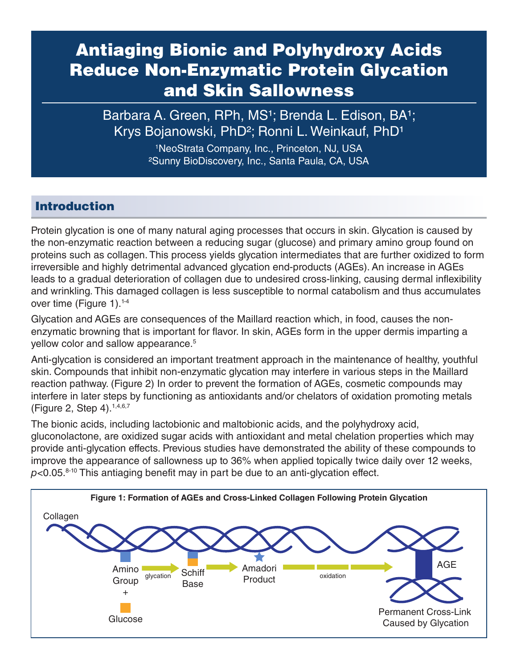# Antiaging Bionic and Polyhydroxy Acids Reduce Non-Enzymatic Protein Glycation and Skin Sallowness

Barbara A. Green, RPh, MS<sup>1</sup>; Brenda L. Edison, BA<sup>1</sup>; Krys Bojanowski, PhD<sup>2</sup>; Ronni L. Weinkauf, PhD<sup>1</sup>

> 1 NeoStrata Company, Inc., Princeton, NJ, USA ²Sunny BioDiscovery, Inc., Santa Paula, CA, USA

## Introduction

Protein glycation is one of many natural aging processes that occurs in skin. Glycation is caused by the non-enzymatic reaction between a reducing sugar (glucose) and primary amino group found on proteins such as collagen. This process yields glycation intermediates that are further oxidized to form irreversible and highly detrimental advanced glycation end-products (AGEs). An increase in AGEs leads to a gradual deterioration of collagen due to undesired cross-linking, causing dermal inflexibility and wrinkling. This damaged collagen is less susceptible to normal catabolism and thus accumulates over time (Figure 1).<sup>1-4</sup>

Glycation and AGEs are consequences of the Maillard reaction which, in food, causes the nonenzymatic browning that is important for flavor. In skin, AGEs form in the upper dermis imparting a yellow color and sallow appearance.<sup>5</sup>

Anti-glycation is considered an important treatment approach in the maintenance of healthy, youthful skin. Compounds that inhibit non-enzymatic glycation may interfere in various steps in the Maillard reaction pathway. (Figure 2) In order to prevent the formation of AGEs, cosmetic compounds may interfere in later steps by functioning as antioxidants and/or chelators of oxidation promoting metals (Figure 2, Step 4).1,4,6,7

The bionic acids, including lactobionic and maltobionic acids, and the polyhydroxy acid, gluconolactone, are oxidized sugar acids with antioxidant and metal chelation properties which may provide anti-glycation effects. Previous studies have demonstrated the ability of these compounds to improve the appearance of sallowness up to 36% when applied topically twice daily over 12 weeks,  $p$ <0.05. $8-10$  This antiaging benefit may in part be due to an anti-glycation effect.

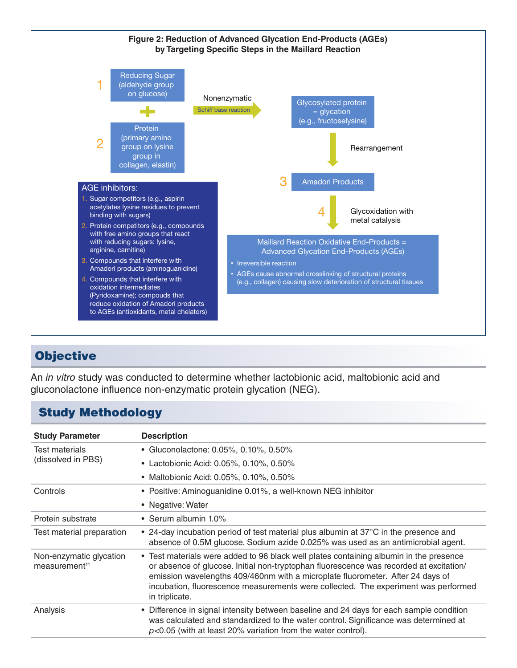



# **Objective**

An *in vitro* study was conducted to determine whether lactobionic acid, maltobionic acid and gluconolactone influence non-enzymatic protein glycation (NEG).

## Study Methodology

| <b>Study Parameter</b>                               | <b>Description</b>                                                                                                                                                                                                                                                                                                                                                         |
|------------------------------------------------------|----------------------------------------------------------------------------------------------------------------------------------------------------------------------------------------------------------------------------------------------------------------------------------------------------------------------------------------------------------------------------|
| Test materials<br>(dissolved in PBS)                 | • Gluconolactone: 0.05%, 0.10%, 0.50%                                                                                                                                                                                                                                                                                                                                      |
|                                                      | • Lactobionic Acid: 0.05%, 0.10%, 0.50%                                                                                                                                                                                                                                                                                                                                    |
|                                                      | • Maltobionic Acid: 0.05%, 0.10%, 0.50%                                                                                                                                                                                                                                                                                                                                    |
| Controls                                             | • Positive: Aminoguanidine 0.01%, a well-known NEG inhibitor                                                                                                                                                                                                                                                                                                               |
|                                                      | • Negative: Water                                                                                                                                                                                                                                                                                                                                                          |
| Protein substrate                                    | • Serum albumin 1.0%                                                                                                                                                                                                                                                                                                                                                       |
| Test material preparation                            | • 24-day incubation period of test material plus albumin at 37°C in the presence and<br>absence of 0.5M glucose. Sodium azide 0.025% was used as an antimicrobial agent.                                                                                                                                                                                                   |
| Non-enzymatic glycation<br>measurement <sup>11</sup> | • Test materials were added to 96 black well plates containing albumin in the presence<br>or absence of glucose. Initial non-tryptophan fluorescence was recorded at excitation/<br>emission wavelengths 409/460nm with a microplate fluorometer. After 24 days of<br>incubation, fluorescence measurements were collected. The experiment was performed<br>in triplicate. |
| Analysis                                             | • Difference in signal intensity between baseline and 24 days for each sample condition<br>was calculated and standardized to the water control. Significance was determined at<br>$p<0.05$ (with at least 20% variation from the water control).                                                                                                                          |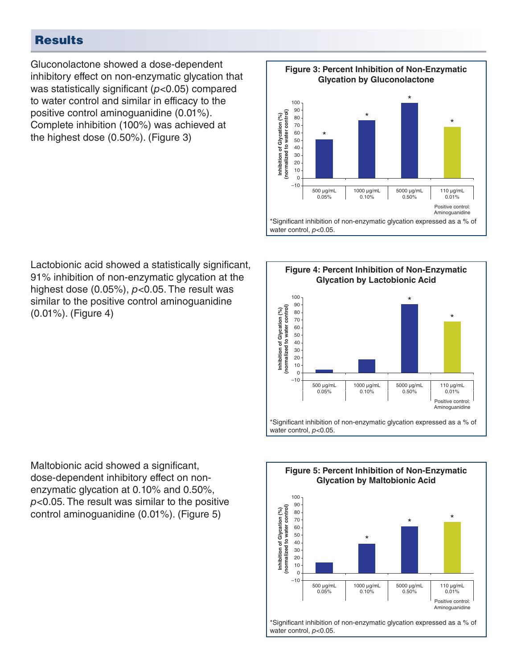# **Results**

Gluconolactone showed a dose-dependent inhibitory effect on non-enzymatic glycation that was statistically significant (*p*<0.05) compared to water control and similar in efficacy to the positive control aminoguanidine (0.01%). Complete inhibition (100%) was achieved at the highest dose (0.50%). (Figure 3)

Lactobionic acid showed a statistically significant, 91% inhibition of non-enzymatic glycation at the highest dose (0.05%), *p*<0.05. The result was similar to the positive control aminoguanidine (0.01%). (Figure 4)

Maltobionic acid showed a significant, dose-dependent inhibitory effect on nonenzymatic glycation at 0.10% and 0.50%, *p*<0.05. The result was similar to the positive control aminoguanidine (0.01%). (Figure 5)